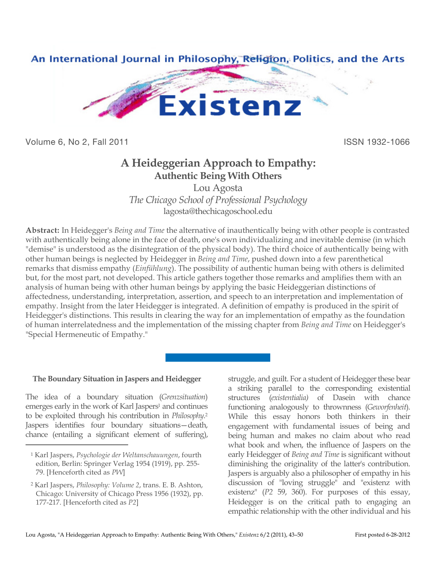

Volume 6, No 2, Fall 2011 **ISSN 1932-1066** 

# **A Heideggerian Approach to Empathy: Authentic Being With Others**

Lou Agosta

*The Chicago School of Professional Psychology* lagosta@thechicagoschool.edu

**Abstract:** In Heidegger's *Being and Time* the alternative of inauthentically being with other people is contrasted with authentically being alone in the face of death, one's own individualizing and inevitable demise (in which "demise" is understood as the disintegration of the physical body). The third choice of authentically being with other human beings is neglected by Heidegger in *Being and Time*, pushed down into a few parenthetical remarks that dismiss empathy (*Einfühlung*). The possibility of authentic human being with others is delimited but, for the most part, not developed. This article gathers together those remarks and amplifies them with an analysis of human being with other human beings by applying the basic Heideggerian distinctions of affectedness, understanding, interpretation, assertion, and speech to an interpretation and implementation of empathy. Insight from the later Heidegger is integrated. A definition of empathy is produced in the spirit of Heidegger's distinctions. This results in clearing the way for an implementation of empathy as the foundation of human interrelatedness and the implementation of the missing chapter from *Being and Time* on Heidegger's "Special Hermeneutic of Empathy."

# **The Boundary Situation in Jaspers and Heidegger**

The idea of a boundary situation (*Grenzsituation*) emerges early in the work of Karl Jaspers<sup>1</sup> and continues to be exploited through his contribution in *Philosophy*. 2 Jaspers identifies four boundary situations—death, chance (entailing a significant element of suffering),

 $\overline{a}$ 

struggle, and guilt. For a student of Heidegger these bear a striking parallel to the corresponding existential structures (*existentialia)* of Dasein with chance functioning analogously to thrownness (*Geworfenheit*). While this essay honors both thinkers in their engagement with fundamental issues of being and being human and makes no claim about who read what book and when, the influence of Jaspers on the early Heidegger of *Being and Time* is significant without diminishing the originality of the latter's contribution. Jaspers is arguably also a philosopher of empathy in his discussion of "loving struggle" and "existenz with existenz" (*P2* 59, 360). For purposes of this essay, Heidegger is on the critical path to engaging an empathic relationship with the other individual and his

<sup>1</sup> Karl Jaspers, *Psychologie der Weltanschauungen*, fourth edition, Berlin: Springer Verlag 1954 (1919), pp. 255- 79. [Henceforth cited as *PW*]

<sup>2</sup> Karl Jaspers, *Philosophy: Volume 2*, trans. E. B. Ashton, Chicago: University of Chicago Press 1956 (1932), pp. 177-217. [Henceforth cited as *P2*]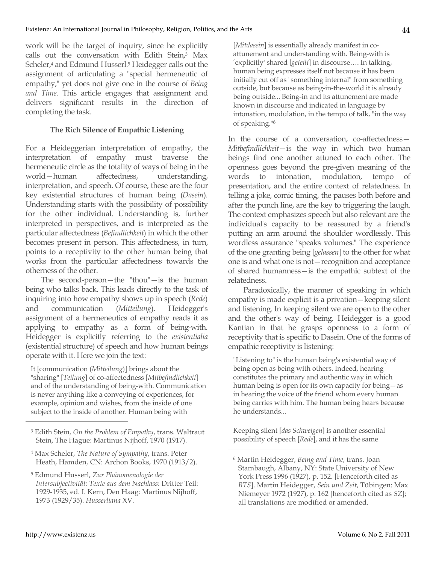work will be the target of inquiry, since he explicitly calls out the conversation with Edith Stein, 3 Max Scheler, 4 and Edmund Husserl. 5 Heidegger calls out the assignment of articulating a "special hermeneutic of empathy," yet does not give one in the course of *Being and Time*. This article engages that assignment and delivers significant results in the direction of completing the task.

#### **The Rich Silence of Empathic Listening**

For a Heideggerian interpretation of empathy, the interpretation of empathy must traverse the hermeneutic circle as the totality of ways of being in the world—human affectedness, understanding, interpretation, and speech. Of course, these are the four key existential structures of human being (*Dasein*). Understanding starts with the possibility of possibility for the other individual. Understanding is, further interpreted in perspectives, and is interpreted as the particular affectedness (*Befindlichkeit*) in which the other becomes present in person. This affectedness, in turn, points to a receptivity to the other human being that works from the particular affectedness towards the otherness of the other.

The second-person—the "thou"—is the human being who talks back. This leads directly to the task of inquiring into how empathy shows up in speech (*Rede*) and communication (*Mitteilung*). Heidegger's assignment of a hermeneutics of empathy reads it as applying to empathy as a form of being-with. Heidegger is explicitly referring to the *existentialia* (existential structure) of speech and how human beings operate with it. Here we join the text:

It [communication (*Mitteilung*)] brings about the "sharing" [*Teilung*] of co-affectedness [*Mitbefindlichkeit*] and of the understanding of being-with. Communication is never anything like a conveying of experiences, for example, opinion and wishes, from the inside of one subject to the inside of another. Human being with

- <sup>4</sup> Max Scheler, *The Nature of Sympathy*, trans. Peter Heath, Hamden, CN: Archon Books, 1970 (1913/2).
- <sup>5</sup> Edmund Husserl, *Zur Phänomenologie der Intersubjectivität: Texte aus dem Nachlass*: Dritter Teil: 1929-1935, ed. I. Kern, Den Haag: Martinus Nijhoff, 1973 (1929/35). *Husserliana* XV.

[*Mitdasein*] is essentially already manifest in coattunement and understanding with. Being-with is 'explicitly' shared [*geteilt*] in discourse…. In talking, human being expresses itself not because it has been initially cut off as "something internal" from something outside, but because as being-in-the-world it is already being outside... Being-in and its attunement are made known in discourse and indicated in language by intonation, modulation, in the tempo of talk, "in the way of speaking."6

In the course of a conversation, co-affectedness— *Mitbefindlichkeit*—is the way in which two human beings find one another attuned to each other. The openness goes beyond the pre-given meaning of the words to intonation, modulation, tempo of presentation, and the entire context of relatedness. In telling a joke, comic timing, the pauses both before and after the punch line, are the key to triggering the laugh. The context emphasizes speech but also relevant are the individual's capacity to be reassured by a friend's putting an arm around the shoulder wordlessly. This wordless assurance "speaks volumes." The experience of the one granting being [*gelassen*] to the other for what one is and what one is not—recognition and acceptance of shared humanness—is the empathic subtext of the relatedness.

Paradoxically, the manner of speaking in which empathy is made explicit is a privation—keeping silent and listening. In keeping silent we are open to the other and the other's way of being. Heidegger is a good Kantian in that he grasps openness to a form of receptivity that is specific to Dasein. One of the forms of empathic receptivity is listening:

"Listening to" is the human being's existential way of being open as being with others. Indeed, hearing constitutes the primary and authentic way in which human being is open for its own capacity for being—as in hearing the voice of the friend whom every human being carries with him. The human being hears because he understands...

Keeping silent [*das Schweigen*] is another essential possibility of speech [*Rede*], and it has the same

 $\overline{a}$ 

<sup>3</sup> Edith Stein, *On the Problem of Empathy*, trans. Waltraut Stein, The Hague: Martinus Nijhoff, 1970 (1917).

<sup>6</sup> Martin Heidegger, *Being and Time*, trans. Joan Stambaugh, Albany, NY: State University of New York Press 1996 (1927), p. 152. [Henceforth cited as *BTS*]. Martin Heidegger, *Sein und Zeit*, Tübingen: Max Niemeyer 1972 (1927), p. 162 [henceforth cited as *SZ*]; all translations are modified or amended.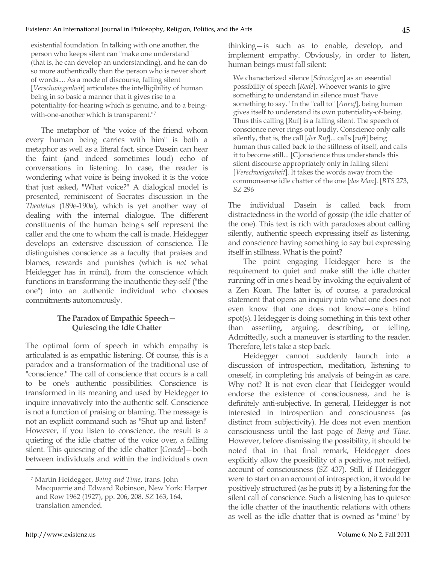existential foundation. In talking with one another, the person who keeps silent can "make one understand" (that is, he can develop an understanding), and he can do so more authentically than the person who is never short of words.... As a mode of discourse, falling silent [*Verschwiegenheit*] articulates the intelligibility of human being in so basic a manner that it gives rise to a potentiality-for-hearing which is genuine, and to a beingwith-one-another which is transparent."7

The metaphor of "the voice of the friend whom every human being carries with him" is both a metaphor as well as a literal fact, since Dasein can hear the faint (and indeed sometimes loud) echo of conversations in listening. In case, the reader is wondering what voice is being invoked it is the voice that just asked, "What voice?" A dialogical model is presented, reminiscent of Socrates discussion in the *Theatetus* (189e-190a), which is yet another way of dealing with the internal dialogue. The different constituents of the human being's self represent the caller and the one to whom the call is made. Heidegger develops an extensive discussion of conscience. He distinguishes conscience as a faculty that praises and blames, rewards and punishes (which is *not* what Heidegger has in mind), from the conscience which functions in transforming the inauthentic they-self ("the one") into an authentic individual who chooses commitments autonomously.

### **The Paradox of Empathic Speech— Quiescing the Idle Chatter**

The optimal form of speech in which empathy is articulated is as empathic listening. Of course, this is a paradox and a transformation of the traditional use of "conscience." The call of conscience that occurs is a call to be one's authentic possibilities. Conscience is transformed in its meaning and used by Heidegger to inquire innovatively into the authentic self. Conscience is not a function of praising or blaming. The message is not an explicit command such as "Shut up and listen!" However, if you listen to conscience, the result is a quieting of the idle chatter of the voice over, a falling silent. This quiescing of the idle chatter [*Gerede*]—both between individuals and within the individual's own

thinking—is such as to enable, develop, and implement empathy. Obviously, in order to listen, human beings must fall silent:

We characterized silence [*Schweigen*] as an essential possibility of speech [*Rede*]. Whoever wants to give something to understand in silence must "have something to say." In the "call to" [*Anruf*], being human gives itself to understand its own potentiality-of-being. Thus this calling [Ruf] is a falling silent. The speech of conscience never rings out loudly. Conscience only calls silently, that is, the call [*der Ruf*]... calls [*ruft*] being human thus called back to the stillness of itself, and calls it to become still... [C]onscience thus understands this silent discourse appropriately only in falling silent [*Verschweigenheit*]. It takes the words away from the commonsense idle chatter of the one [*das Man*]. [*BTS* 273, *SZ* 296

The individual Dasein is called back from distractedness in the world of gossip (the idle chatter of the one). This text is rich with paradoxes about calling silently, authentic speech expressing itself as listening, and conscience having something to say but expressing itself in stillness. What is the point?

The point engaging Heidegger here is the requirement to quiet and make still the idle chatter running off in one's head by invoking the equivalent of a Zen Koan. The latter is, of course, a paradoxical statement that opens an inquiry into what one does not even know that one does not know—one's blind spot(s). Heidegger is doing something in this text other than asserting, arguing, describing, or telling. Admittedly, such a maneuver is startling to the reader. Therefore, let's take a step back.

Heidegger cannot suddenly launch into a discussion of introspection, meditation, listening to oneself, in completing his analysis of being-in as care. Why not? It is not even clear that Heidegger would endorse the existence of consciousness, and he is definitely anti-subjective. In general, Heidegger is not interested in introspection and consciousness (as distinct from subjectivity). He does not even mention consciousness until the last page of *Being and Time.*  However, before dismissing the possibility, it should be noted that in that final remark, Heidegger does explicitly allow the possibility of a positive, not reified, account of consciousness (*SZ* 437). Still, if Heidegger were to start on an account of introspection, it would be positively structured (as he puts it) by a listening for the silent call of conscience. Such a listening has to quiesce the idle chatter of the inauthentic relations with others as well as the idle chatter that is owned as "mine" by

<sup>7</sup> Martin Heidegger, *Being and Time*, trans. John Macquarrie and Edward Robinson, New York: Harper and Row 1962 (1927), pp. 206, 208. *SZ* 163, 164, translation amended.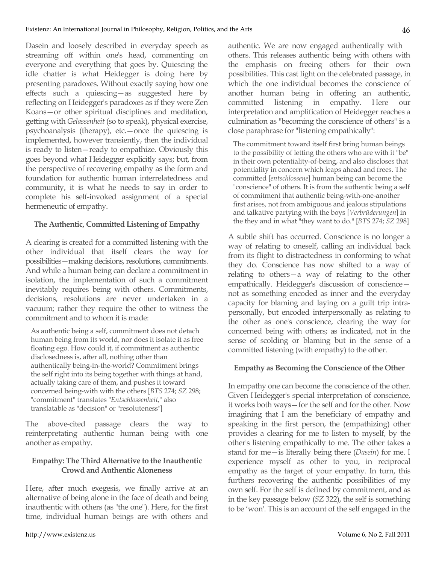Dasein and loosely described in everyday speech as streaming off within one's head, commenting on everyone and everything that goes by. Quiescing the idle chatter is what Heidegger is doing here by presenting paradoxes. Without exactly saying how one effects such a quiescing—as suggested here by reflecting on Heidegger's paradoxes as if they were Zen Koans—or other spiritual disciplines and meditation, getting with *Gelassenheit* (so to speak), physical exercise, psychoanalysis (therapy), etc.—once the quiescing is implemented, however transiently, then the individual is ready to listen—ready to empathize. Obviously this goes beyond what Heidegger explicitly says; but, from the perspective of recovering empathy as the form and foundation for authentic human interrelatedness and community, it is what he needs to say in order to complete his self-invoked assignment of a special hermeneutic of empathy.

#### **The Authentic, Committed Listening of Empathy**

A clearing is created for a committed listening with the other individual that itself clears the way for possibilities—making decisions, resolutions, commitments. And while a human being can declare a commitment in isolation, the implementation of such a commitment inevitably requires being with others. Commitments, decisions, resolutions are never undertaken in a vacuum; rather they require the other to witness the commitment and to whom it is made:

As authentic being a self, commitment does not detach human being from its world, nor does it isolate it as free floating ego. How could it, if commitment as authentic disclosedness is, after all, nothing other than authentically being-in-the-world? Commitment brings the self right into its being together with things at hand, actually taking care of them, and pushes it toward concerned being-with with the others [*BTS* 274; *SZ* 298; "commitment" translates "*Entschlossenheit*," also translatable as "decision" or "resoluteness"]

The above-cited passage clears the way to reinterpretating authentic human being with one another as empathy.

## **Empathy: The Third Alternative to the Inauthentic Crowd and Authentic Aloneness**

Here, after much exegesis, we finally arrive at an alternative of being alone in the face of death and being inauthentic with others (as "the one"). Here, for the first time, individual human beings are with others and authentic. We are now engaged authentically with others. This releases authentic being with others with the emphasis on freeing others for their own possibilities. This cast light on the celebrated passage, in which the one individual becomes the conscience of another human being in offering an authentic, committed listening in empathy. Here our interpretation and amplification of Heidegger reaches a culmination as "becoming the conscience of others" is a close paraphrase for "listening empathically":

The commitment toward itself first bring human beings to the possibility of letting the others who are with it "be" in their own potentiality-of-being, and also discloses that potentiality in concern which leaps ahead and frees. The committed [*entschlossene*] human being can become the "conscience" of others. It is from the authentic being a self of commitment that authentic being-with-one-another first arises, not from ambiguous and jealous stipulations and talkative partying with the boys [*Verbrüderungen*] in the they and in what "they want to do." [*BTS* 274; *SZ* 298]

A subtle shift has occurred. Conscience is no longer a way of relating to oneself, calling an individual back from its flight to distractedness in conforming to what they do. Conscience has now shifted to a way of relating to others—a way of relating to the other empathically. Heidegger's discussion of conscience not as something encoded as inner and the everyday capacity for blaming and laying on a guilt trip intrapersonally, but encoded interpersonally as relating to the other as one's conscience, clearing the way for concerned being with others; as indicated, not in the sense of scolding or blaming but in the sense of a committed listening (with empathy) to the other.

### **Empathy as Becoming the Conscience of the Other**

In empathy one can become the conscience of the other. Given Heidegger's special interpretation of conscience, it works both ways—for the self and for the other. Now imagining that I am the beneficiary of empathy and speaking in the first person, the (empathizing) other provides a clearing for me to listen to myself, by the other's listening empathically to me. The other takes a stand for me—is literally being there (*Dasein*) for me. I experience myself as other to you, in reciprocal empathy as the target of your empathy. In turn, this furthers recovering the authentic possibilities of my own self. For the self is defined by commitment, and as in the key passage below (*SZ* 322), the self is something to be 'won'. This is an account of the self engaged in the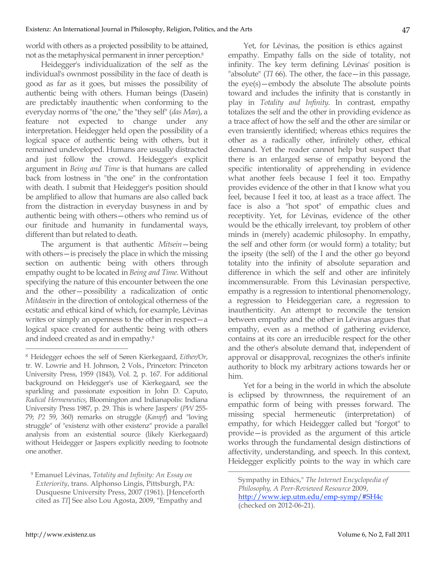world with others as a projected possibility to be attained, not as the metaphysical permanent in inner perception.8

Heidegger's individualization of the self as the individual's ownmost possibility in the face of death is good as far as it goes, but misses the possibility of authentic being with others. Human beings (Dasein) are predictably inauthentic when conforming to the everyday norms of "the one," the "they self" (*das Man*), a feature not expected to change under any interpretation. Heidegger held open the possibility of a logical space of authentic being with others, but it remained undeveloped. Humans are usually distracted and just follow the crowd. Heidegger's explicit argument in *Being and Time* is that humans are called back from lostness in "the one" in the confrontation with death. I submit that Heidegger's position should be amplified to allow that humans are also called back from the distraction in everyday busyness in and by authentic being with others—others who remind us of our finitude and humanity in fundamental ways, different than but related to death.

The argument is that authentic *Mitsein*—being with others—is precisely the place in which the missing section on authentic being with others through empathy ought to be located in *Being and Time*. Without specifying the nature of this encounter between the one and the other—possibility a radicalization of ontic *Mitdasein* in the direction of ontological otherness of the ecstatic and ethical kind of which, for example, Lévinas writes or simply an openness to the other in respect—a logical space created for authentic being with others and indeed created as and in empathy.9

Yet, for Lévinas, the position is ethics against empathy. Empathy falls on the side of totality, not infinity. The key term defining Lévinas' position is "absolute" (*TI* 66). The other, the face—in this passage, the eye(s)—embody the absolute The absolute points toward and includes the infinity that is constantly in play in *Totality and Infinity*. In contrast, empathy totalizes the self and the other in providing evidence as a trace affect of how the self and the other are similar or even transiently identified; whereas ethics requires the other as a radically other, infinitely other, ethical demand. Yet the reader cannot help but suspect that there is an enlarged sense of empathy beyond the specific intentionality of apprehending in evidence what another feels because I feel it too. Empathy provides evidence of the other in that I know what you feel, because I feel it too, at least as a trace affect. The face is also a "hot spot" of empathic clues and receptivity. Yet, for Lévinas, evidence of the other would be the ethically irrelevant, toy problem of other minds in (merely) academic philosophy. In empathy, the self and other form (or would form) a totality; but the ipseity (the self) of the I and the other go beyond totality into the infinity of absolute separation and difference in which the self and other are infinitely incommensurable. From this Lévinasian perspective, empathy is a regression to intentional phenomenology, a regression to Heideggerian care, a regression to inauthenticity. An attempt to reconcile the tension between empathy and the other in Lévinas argues that empathy, even as a method of gathering evidence, contains at its core an irreducible respect for the other and the other's absolute demand that, independent of approval or disapproval, recognizes the other's infinite authority to block my arbitrary actions towards her or him.

Yet for a being in the world in which the absolute is eclipsed by thrownness, the requirement of an empathic form of being with presses forward. The missing special hermeneutic (interpretation) of empathy, for which Heidegger called but "forgot" to provide—is provided as the argument of this article works through the fundamental design distinctions of affectivity, understanding, and speech. In this context, Heidegger explicitly points to the way in which care

 <sup>8</sup> Heidegger echoes the self of Søren Kierkegaard, *Either/Or*, tr. W. Lowrie and H. Johnson, 2 Vols., Princeton: Princeton University Press, 1959 (1843), Vol. 2, p. 167. For additional background on Heidegger's use of Kierkegaard, see the sparkling and passionate exposition in John D. Caputo, *Radical Hermeneutics*, Bloomington and Indianapolis: Indiana University Press 1987, p. 29. This is where Jaspers' (*PW* 255- 79; *P2* 59, 360) remarks on struggle (*Kampf*) and "loving struggle" of "existenz with other existenz" provide a parallel analysis from an existential source (likely Kierkegaard) without Heidegger or Jaspers explicitly needing to footnote one another.

<sup>9</sup> Emanuel Lévinas, *Totality and Infinity: An Essay on Exteriority*, trans. Alphonso Lingis, Pittsburgh, PA: Dusquesne University Press, 2007 (1961). [Henceforth cited as *TI*] See also Lou Agosta, 2009, "Empathy and

Sympathy in Ethics," *The Internet Encyclopedia of Philosophy, A Peer-Reviewed Resource* 2009, http://www.iep.utm.edu/emp-symp/#SH4c (checked on 2012-06-21).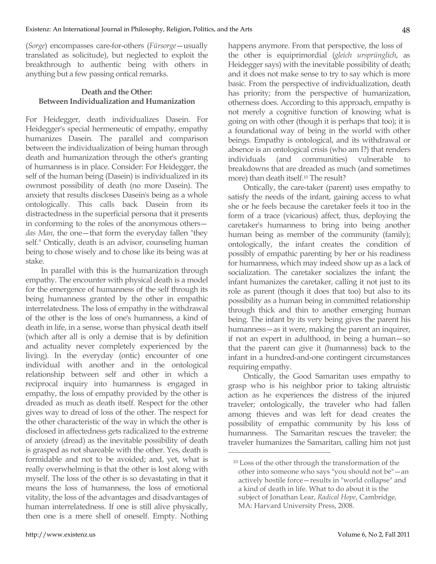(*Sorge*) encompasses care-for-others (*Fürsorge*—usually translated as solicitude), but neglected to exploit the breakthrough to authentic being with others in anything but a few passing ontical remarks.

### **Death and the Other: Between Individualization and Humanization**

For Heidegger, death individualizes Dasein. For Heidegger's special hermeneutic of empathy, empathy humanizes Dasein. The parallel and comparison between the individualization of being human through death and humanization through the other's granting of humanness is in place. Consider: For Heidegger, the self of the human being (Dasein) is individualized in its ownmost possibility of death (no more Dasein). The anxiety that results discloses Dasein's being as a whole ontologically. This calls back Dasein from its distractedness in the superficial persona that it presents in conforming to the roles of the anonymous others *das Man*, the one—that form the everyday fallen "they self." Ontically, death is an advisor, counseling human being to chose wisely and to chose like its being was at stake.

In parallel with this is the humanization through empathy. The encounter with physical death is a model for the emergence of humanness of the self through its being humanness granted by the other in empathic interrelatedness. The loss of empathy in the withdrawal of the other is the loss of one's humanness, a kind of death in life, in a sense, worse than physical death itself (which after all is only a demise that is by definition and actuality never completely experienced by the living). In the everyday (ontic) encounter of one individual with another and in the ontological relationship between self and other in which a reciprocal inquiry into humanness is engaged in empathy, the loss of empathy provided by the other is dreaded as much as death itself. Respect for the other gives way to dread of loss of the other. The respect for the other characteristic of the way in which the other is disclosed in affectedness gets radicalized to the extreme of anxiety (dread) as the inevitable possibility of death is grasped as not shareable with the other. Yes, death is formidable and not to be avoided; and, yet, what is really overwhelming is that the other is lost along with myself. The loss of the other is so devastating in that it means the loss of humanness, the loss of emotional vitality, the loss of the advantages and disadvantages of human interrelatedness. If one is still alive physically, then one is a mere shell of oneself. Empty. Nothing happens anymore. From that perspective, the loss of the other is equiprimordial (*gleich ursprünglich*, as Heidegger says) with the inevitable possibility of death; and it does not make sense to try to say which is more basic. From the perspective of individualization, death has priority; from the perspective of humanization, otherness does. According to this approach, empathy is not merely a cognitive function of knowing what is going on with other (though it is perhaps that too); it is a foundational way of being in the world with other beings. Empathy is ontological, and its withdrawal or absence is an ontological crisis (who am I?) that renders individuals (and communities) vulnerable to breakdowns that are dreaded as much (and sometimes more) than death itself.10 The result?

Ontically, the care-taker (parent) uses empathy to satisfy the needs of the infant, gaining access to what she or he feels because the caretaker feels it too in the form of a trace (vicarious) affect, thus, deploying the caretaker's humanness to bring into being another human being as member of the community (family); ontologically, the infant creates the condition of possibly of empathic parenting by her or his readiness for humanness, which may indeed show up as a lack of socialization. The caretaker socializes the infant; the infant humanizes the caretaker, calling it not just to its role as parent (though it does that too) but also to its possibility as a human being in committed relationship through thick and thin to another emerging human being. The infant by its very being gives the parent his humanness—as it were, making the parent an inquirer, if not an expert in adulthood, in being a human—so that the parent can give it (humanness) back to the infant in a hundred-and-one contingent circumstances requiring empathy.

Ontically, the Good Samaritan uses empathy to grasp who is his neighbor prior to taking altruistic action as he experiences the distress of the injured traveler; ontologically, the traveler who had fallen among thieves and was left for dead creates the possibility of empathic community by his loss of humanness. The Samaritan rescues the traveler; the traveler humanizes the Samaritan, calling him not just

<sup>10</sup> Loss of the other through the transformation of the other into someone who says "you should not be"—an actively hostile force—results in "world collapse" and a kind of death in life. What to do about it is the subject of Jonathan Lear, *Radical Hope*, Cambridge, MA: Harvard University Press, 2008.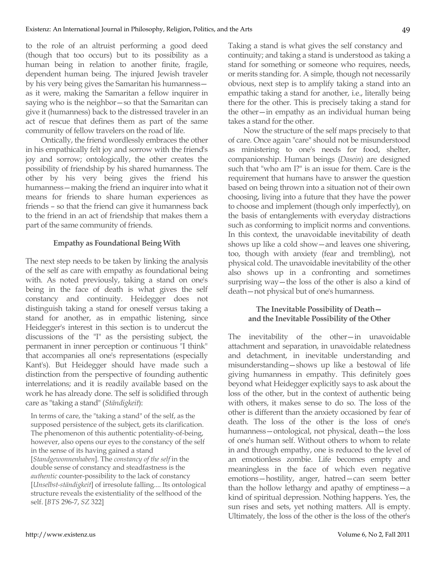to the role of an altruist performing a good deed (though that too occurs) but to its possibility as a human being in relation to another finite, fragile, dependent human being. The injured Jewish traveler by his very being gives the Samaritan his humanness as it were, making the Samaritan a fellow inquirer in saying who is the neighbor—so that the Samaritan can give it (humanness) back to the distressed traveler in an act of rescue that defines them as part of the same community of fellow travelers on the road of life.

Ontically, the friend wordlessly embraces the other in his empathically felt joy and sorrow with the friend's joy and sorrow; ontologically, the other creates the possibility of friendship by his shared humanness. The other by his very being gives the friend his humanness—making the friend an inquirer into what it means for friends to share human experiences as friends – so that the friend can give it humanness back to the friend in an act of friendship that makes them a part of the same community of friends.

#### **Empathy as Foundational Being With**

The next step needs to be taken by linking the analysis of the self as care with empathy as foundational being with. As noted previously, taking a stand on one's being in the face of death is what gives the self constancy and continuity. Heidegger does not distinguish taking a stand for oneself versus taking a stand for another, as in empathic listening, since Heidegger's interest in this section is to undercut the discussions of the "I" as the persisting subject, the permanent in inner perception or continuous "I think" that accompanies all one's representations (especially Kant's). But Heidegger should have made such a distinction from the perspective of founding authentic interrelations; and it is readily available based on the work he has already done. The self is solidified through care as "taking a stand" (*Ständigkeit*):

In terms of care, the "taking a stand" of the self, as the supposed persistence of the subject, gets its clarification. The phenomenon of this authentic potentiality-of-being, however, also opens our eyes to the constancy of the self in the sense of its having gained a stand [*Standgewonnenhaben*]. The *constancy of the self* in the double sense of constancy and steadfastness is the *authentic* counter-possibility to the lack of constancy [*Unselbst-ständigkeit*] of irresolute falling.... Its ontological structure reveals the existentiality of the selfhood of the self. [*BTS* 296-7, *SZ* 322]

Taking a stand is what gives the self constancy and continuity; and taking a stand is understood as taking a stand for something or someone who requires, needs, or merits standing for. A simple, though not necessarily obvious, next step is to amplify taking a stand into an empathic taking a stand for another, i.e., literally being there for the other. This is precisely taking a stand for the other—in empathy as an individual human being takes a stand for the other.

Now the structure of the self maps precisely to that of care. Once again "care" should not be misunderstood as ministering to one's needs for food, shelter, companionship. Human beings (*Dasein*) are designed such that "who am I?" is an issue for them. Care is the requirement that humans have to answer the question based on being thrown into a situation not of their own choosing, living into a future that they have the power to choose and implement (though only imperfectly), on the basis of entanglements with everyday distractions such as conforming to implicit norms and conventions. In this context, the unavoidable inevitability of death shows up like a cold show—and leaves one shivering, too, though with anxiety (fear and trembling), not physical cold. The unavoidable inevitability of the other also shows up in a confronting and sometimes surprising way—the loss of the other is also a kind of death—not physical but of one's humanness.

#### **The Inevitable Possibility of Death and the Inevitable Possibility of the Other**

The inevitability of the other—in unavoidable attachment and separation, in unavoidable relatedness and detachment, in inevitable understanding and misunderstanding—shows up like a bestowal of life giving humanness in empathy. This definitely goes beyond what Heidegger explicitly says to ask about the loss of the other, but in the context of authentic being with others, it makes sense to do so. The loss of the other is different than the anxiety occasioned by fear of death. The loss of the other is the loss of one's humanness—ontological, not physical, death—the loss of one's human self. Without others to whom to relate in and through empathy, one is reduced to the level of an emotionless zombie. Life becomes empty and meaningless in the face of which even negative emotions—hostility, anger, hatred—can seem better than the hollow lethargy and apathy of emptiness—a kind of spiritual depression. Nothing happens. Yes, the sun rises and sets, yet nothing matters. All is empty. Ultimately, the loss of the other is the loss of the other's